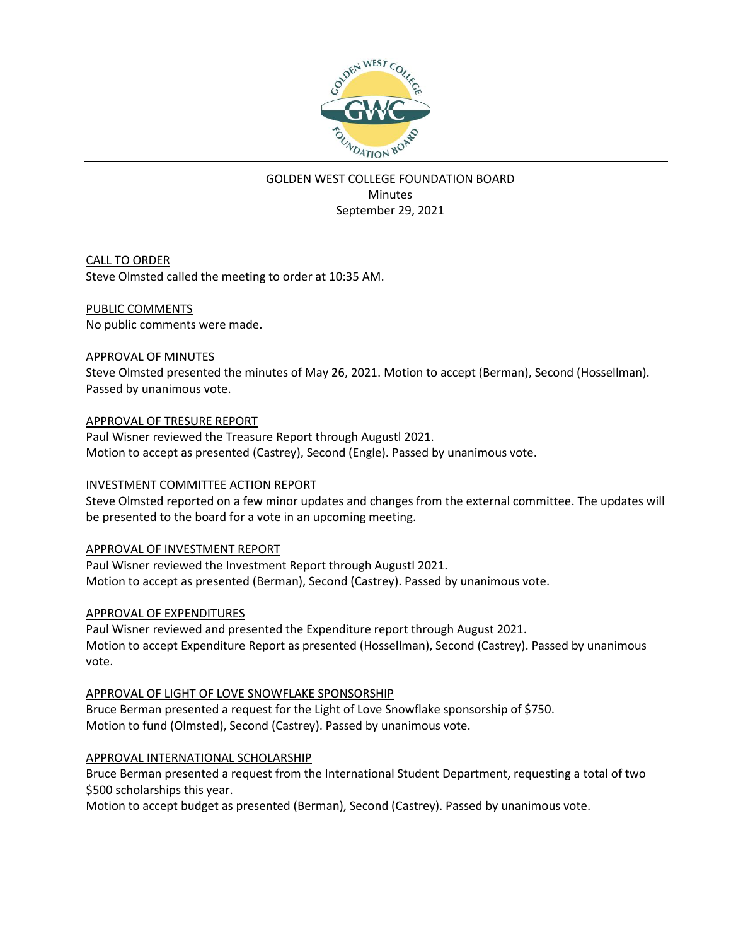

# GOLDEN WEST COLLEGE FOUNDATION BOARD **Minutes** September 29, 2021

CALL TO ORDER Steve Olmsted called the meeting to order at 10:35 AM.

#### PUBLIC COMMENTS

No public comments were made.

#### APPROVAL OF MINUTES

Steve Olmsted presented the minutes of May 26, 2021. Motion to accept (Berman), Second (Hossellman). Passed by unanimous vote.

APPROVAL OF TRESURE REPORT

Paul Wisner reviewed the Treasure Report through Augustl 2021. Motion to accept as presented (Castrey), Second (Engle). Passed by unanimous vote.

## INVESTMENT COMMITTEE ACTION REPORT

Steve Olmsted reported on a few minor updates and changes from the external committee. The updates will be presented to the board for a vote in an upcoming meeting.

## APPROVAL OF INVESTMENT REPORT

Paul Wisner reviewed the Investment Report through Augustl 2021. Motion to accept as presented (Berman), Second (Castrey). Passed by unanimous vote.

## APPROVAL OF EXPENDITURES

Paul Wisner reviewed and presented the Expenditure report through August 2021. Motion to accept Expenditure Report as presented (Hossellman), Second (Castrey). Passed by unanimous vote.

## APPROVAL OF LIGHT OF LOVE SNOWFLAKE SPONSORSHIP

Bruce Berman presented a request for the Light of Love Snowflake sponsorship of \$750. Motion to fund (Olmsted), Second (Castrey). Passed by unanimous vote.

## APPROVAL INTERNATIONAL SCHOLARSHIP

Bruce Berman presented a request from the International Student Department, requesting a total of two \$500 scholarships this year.

Motion to accept budget as presented (Berman), Second (Castrey). Passed by unanimous vote.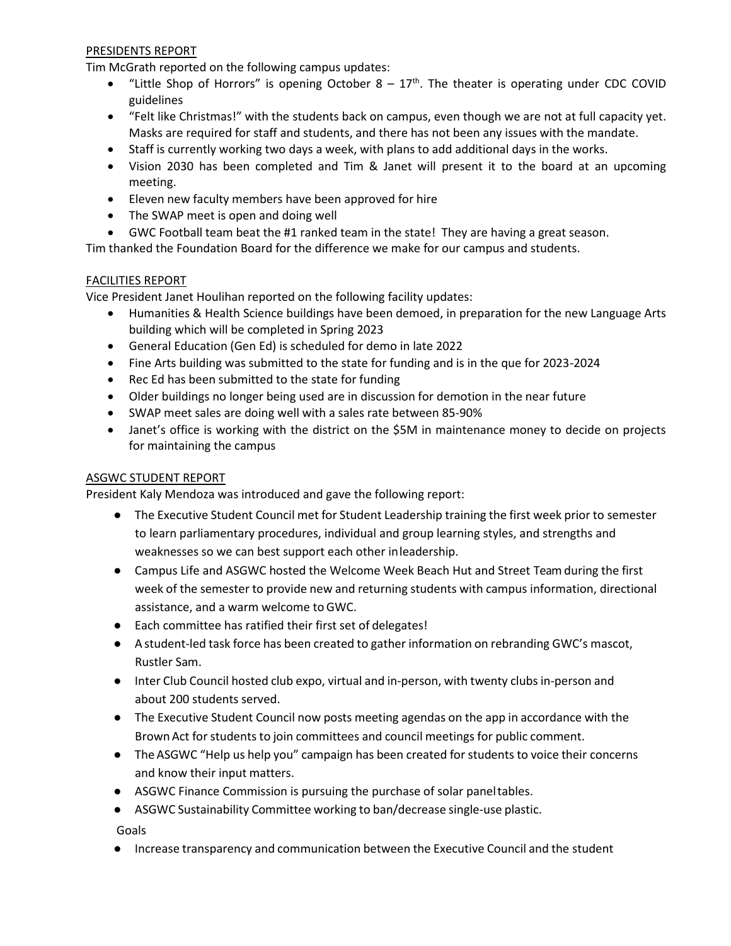#### PRESIDENTS REPORT

Tim McGrath reported on the following campus updates:

- "Little Shop of Horrors" is opening October  $8 17<sup>th</sup>$ . The theater is operating under CDC COVID guidelines
- "Felt like Christmas!" with the students back on campus, even though we are not at full capacity yet. Masks are required for staff and students, and there has not been any issues with the mandate.
- Staff is currently working two days a week, with plans to add additional days in the works.
- Vision 2030 has been completed and Tim & Janet will present it to the board at an upcoming meeting.
- Eleven new faculty members have been approved for hire
- The SWAP meet is open and doing well
- GWC Football team beat the #1 ranked team in the state! They are having a great season.

Tim thanked the Foundation Board for the difference we make for our campus and students.

#### FACILITIES REPORT

Vice President Janet Houlihan reported on the following facility updates:

- Humanities & Health Science buildings have been demoed, in preparation for the new Language Arts building which will be completed in Spring 2023
- General Education (Gen Ed) is scheduled for demo in late 2022
- Fine Arts building was submitted to the state for funding and is in the que for 2023-2024
- Rec Ed has been submitted to the state for funding
- Older buildings no longer being used are in discussion for demotion in the near future
- SWAP meet sales are doing well with a sales rate between 85-90%
- Janet's office is working with the district on the \$5M in maintenance money to decide on projects for maintaining the campus

#### ASGWC STUDENT REPORT

President Kaly Mendoza was introduced and gave the following report:

- The Executive Student Council met for Student Leadership training the first week prior to semester to learn parliamentary procedures, individual and group learning styles, and strengths and weaknesses so we can best support each other inleadership.
- Campus Life and ASGWC hosted the Welcome Week Beach Hut and Street Team during the first week of the semester to provide new and returning students with campus information, directional assistance, and a warm welcome toGWC.
- Each committee has ratified their first set of delegates!
- A student-led task force has been created to gather information on rebranding GWC's mascot, Rustler Sam.
- Inter Club Council hosted club expo, virtual and in-person, with twenty clubs in-person and about 200 students served.
- The Executive Student Council now posts meeting agendas on the app in accordance with the Brown Act for students to join committees and council meetings for public comment.
- The ASGWC "Help us help you" campaign has been created for students to voice their concerns and know their input matters.
- ASGWC Finance Commission is pursuing the purchase of solar paneltables.
- ASGWC Sustainability Committee working to ban/decrease single-use plastic.

Goals

● Increase transparency and communication between the Executive Council and the student